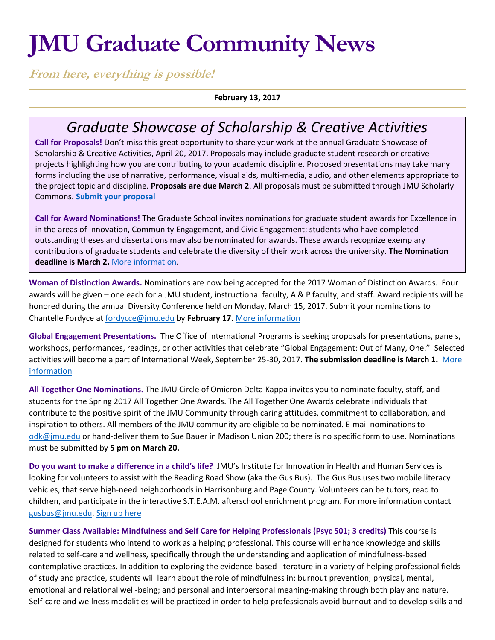# **JMU Graduate Community News**

**From here, everything is possible!**

**February 13, 2017**

# *Graduate Showcase of Scholarship & Creative Activities*

**Call for Proposals!** Don't miss this great opportunity to share your work at the annual Graduate Showcase of Scholarship & Creative Activities, April 20, 2017. Proposals may include graduate student research or creative projects highlighting how you are contributing to your academic discipline. Proposed presentations may take many forms including the use of narrative, performance, visual aids, multi-media, audio, and other elements appropriate to the project topic and discipline. **Proposals are due March 2**. All proposals must be submitted through JMU Scholarly Commons. **[Submit your proposal](http://commons.lib.jmu.edu/celebrationofscholarship-grad/)**

**Call for Award Nominations!** The Graduate School invites nominations for graduate student awards for Excellence in in the areas of Innovation, Community Engagement, and Civic Engagement; students who have completed outstanding theses and dissertations may also be nominated for awards. These awards recognize exemplary contributions of graduate students and celebrate the diversity of their work across the university. **The Nomination deadline is March 2.** [More information.](http://www.jmu.edu/grad/GraduateShowcase/Graduate-awards.shtml)

**Woman of Distinction Awards.** Nominations are now being accepted for the 2017 Woman of Distinction Awards. Four awards will be given – one each for a JMU student, instructional faculty, A & P faculty, and staff. Award recipients will be honored during the annual Diversity Conference held on Monday, March 15, 2017. Submit your nominations to Chantelle Fordyce at [fordycce@jmu.edu](mailto:fordycce@jmu.edu) by **February 17**. [More information](https://www.jmu.edu/news/healthcenter/2017/12-woman-distinction.shtml)

**Global Engagement Presentations.** The Office of International Programs is seeking proposals for presentations, panels, workshops, performances, readings, or other activities that celebrate "Global Engagement: Out of Many, One." Selected activities will become a part of International Week, September 25-30, 2017. **The submission deadline is March 1.** [More](http://www.jmu.edu/global/get-involved/iweek/event-proposal.shtml)  [information](http://www.jmu.edu/global/get-involved/iweek/event-proposal.shtml)

**All Together One Nominations.** The JMU Circle of Omicron Delta Kappa invites you to nominate faculty, staff, and students for the Spring 2017 All Together One Awards. The All Together One Awards celebrate individuals that contribute to the positive spirit of the JMU Community through caring attitudes, commitment to collaboration, and inspiration to others. All members of the JMU community are eligible to be nominated. E-mail nominations to [odk@jmu.edu](mailto:odk@jmu.edu) or hand-deliver them to Sue Bauer in Madison Union 200; there is no specific form to use. Nominations must be submitted by **5 pm on March 20.** 

**Do you want to make a difference in a child's life?** JMU's Institute for Innovation in Health and Human Services is looking for volunteers to assist with the Reading Road Show (aka the Gus Bus). The Gus Bus uses two mobile literacy vehicles, that serve high-need neighborhoods in Harrisonburg and Page County. Volunteers can be tutors, read to children, and participate in the interactive S.T.E.A.M. afterschool enrichment program. For more information contact [gusbus@jmu.edu.](mailto:gusbus@jmu.edu) [Sign up here](mailto:Sign%20up%20here)

**Summer Class Available: Mindfulness and Self Care for Helping Professionals (Psyc 501; 3 credits)** This course is designed for students who intend to work as a helping professional. This course will enhance knowledge and skills related to self-care and wellness, specifically through the understanding and application of mindfulness-based contemplative practices. In addition to exploring the evidence-based literature in a variety of helping professional fields of study and practice, students will learn about the role of mindfulness in: burnout prevention; physical, mental, emotional and relational well-being; and personal and interpersonal meaning-making through both play and nature. Self-care and wellness modalities will be practiced in order to help professionals avoid burnout and to develop skills and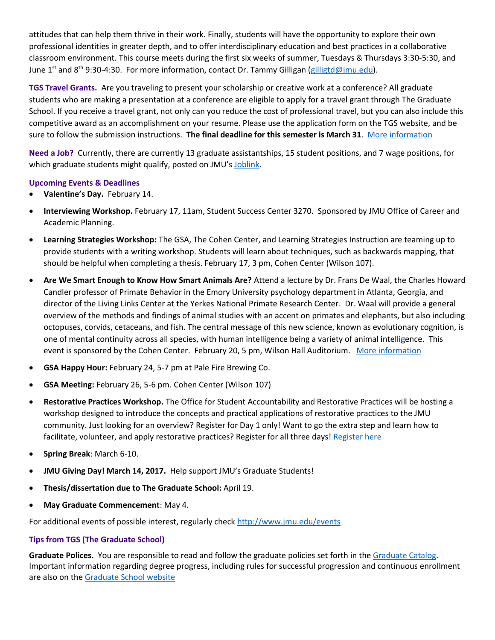attitudes that can help them thrive in their work. Finally, students will have the opportunity to explore their own professional identities in greater depth, and to offer interdisciplinary education and best practices in a collaborative classroom environment. This course meets during the first six weeks of summer, Tuesdays & Thursdays 3:30-5:30, and June 1<sup>st</sup> and 8<sup>th</sup> 9:30-4:30. For more information, contact Dr. Tammy Gilligan [\(gilligtd@jmu.edu\)](mailto:gilligtd@jmu.edu).

**TGS Travel Grants.** Are you traveling to present your scholarship or creative work at a conference? All graduate students who are making a presentation at a conference are eligible to apply for a travel grant through The Graduate School. If you receive a travel grant, not only can you reduce the cost of professional travel, but you can also include this competitive award as an accomplishment on your resume. Please use the application form on the TGS website, and be sure to follow the submission instructions. **The final deadline for this semester is March 31**. [More information](http://www.jmu.edu/grad/current-students/awards/travel-grants.shtml)

**Need a Job?** Currently, there are currently 13 graduate assistantships, 15 student positions, and 7 wage positions, for which graduate students might qualify, posted on JMU's [Joblink.](https://joblink.jmu.edu/applicants/jsp/shared/frameset/Frameset.jsp?time=1472213991546)

## **Upcoming Events & Deadlines**

- **Valentine's Day.** February 14.
- **Interviewing Workshop.** February 17, 11am, Student Success Center 3270. Sponsored by JMU Office of Career and Academic Planning.
- **Learning Strategies Workshop:** The GSA, The Cohen Center, and Learning Strategies Instruction are teaming up to provide students with a writing workshop. Students will learn about techniques, such as backwards mapping, that should be helpful when completing a thesis. February 17, 3 pm, Cohen Center (Wilson 107).
- **Are We Smart Enough to Know How Smart Animals Are?** Attend a lecture by Dr. Frans De Waal, the Charles Howard Candler professor of Primate Behavior in the Emory University psychology department in Atlanta, Georgia, and director of the Living Links Center at the Yerkes National Primate Research Center. Dr. Waal will provide a general overview of the methods and findings of animal studies with an accent on primates and elephants, but also including octopuses, corvids, cetaceans, and fish. The central message of this new science, known as evolutionary cognition, is one of mental continuity across all species, with human intelligence being a variety of animal intelligence. This event is sponsored by the Cohen Center. February 20, 5 pm, Wilson Hall Auditorium. [More information](http://www.jmu.edu/events/cohencenter/2017/2-20-dewaal.shtml)
- **GSA Happy Hour:** February 24, 5-7 pm at Pale Fire Brewing Co.
- **GSA Meeting:** February 26, 5-6 pm. Cohen Center (Wilson 107)
- **Restorative Practices Workshop.** The Office for Student Accountability and Restorative Practices will be hosting a workshop designed to introduce the concepts and practical applications of restorative practices to the JMU community. Just looking for an overview? Register for Day 1 only! Want to go the extra step and learn how to facilitate, volunteer, and apply restorative practices? Register for all three days! [Register here](http://jmu.co1.qualtrics.com/jfe/form/SV_4Yi5oMo4Ehyi2cB)
- **Spring Break**: March 6-10.
- **JMU Giving Day! March 14, 2017.** Help support JMU's Graduate Students!
- **Thesis/dissertation due to The Graduate School:** April 19.
- **May Graduate Commencement**: May 4.

For additional events of possible interest, regularly check<http://www.jmu.edu/events>

#### **Tips from TGS (The Graduate School)**

**Graduate Polices.** You are responsible to read and follow the graduate policies set forth in th[e Graduate Catalog.](http://jmu.edu/catalog) Important information regarding degree progress, including rules for successful progression and continuous enrollment are also on the [Graduate School website](http://www.jmu.edu/grad/current-students/degree-progress/beginning.shtml)